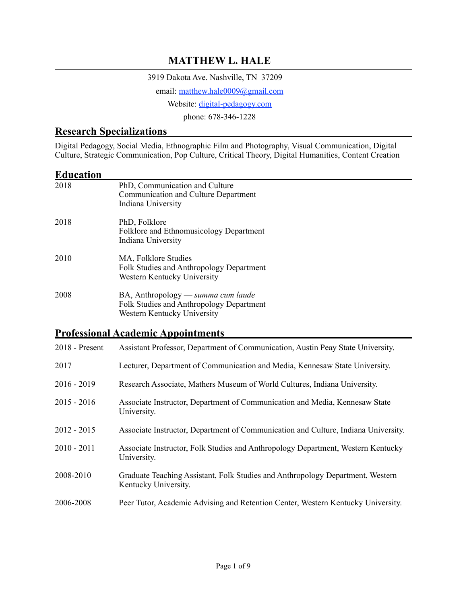#### **MATTHEW L. HALE**

3919 Dakota Ave. Nashville, TN 37209

email: matthew.hale0009@gmail.com

Website: [digital-pedagogy.com](http://digital-pedagogy.com)

phone: 678-346-1228

#### **Research Specializations**

Digital Pedagogy, Social Media, Ethnographic Film and Photography, Visual Communication, Digital Culture, Strategic Communication, Pop Culture, Critical Theory, Digital Humanities, Content Creation

#### **Education**

| 2018 | PhD, Communication and Culture<br>Communication and Culture Department<br>Indiana University                  |
|------|---------------------------------------------------------------------------------------------------------------|
| 2018 | PhD, Folklore<br>Folklore and Ethnomusicology Department<br>Indiana University                                |
| 2010 | MA, Folklore Studies<br>Folk Studies and Anthropology Department<br>Western Kentucky University               |
| 2008 | BA, Anthropology — summa cum laude<br>Folk Studies and Anthropology Department<br>Western Kentucky University |

#### **Professional Academic Appointments**

| $2018$ - Present | Assistant Professor, Department of Communication, Austin Peay State University.                        |
|------------------|--------------------------------------------------------------------------------------------------------|
| 2017             | Lecturer, Department of Communication and Media, Kennesaw State University.                            |
| $2016 - 2019$    | Research Associate, Mathers Museum of World Cultures, Indiana University.                              |
| $2015 - 2016$    | Associate Instructor, Department of Communication and Media, Kennesaw State<br>University.             |
| $2012 - 2015$    | Associate Instructor, Department of Communication and Culture, Indiana University.                     |
| $2010 - 2011$    | Associate Instructor, Folk Studies and Anthropology Department, Western Kentucky<br>University.        |
| 2008-2010        | Graduate Teaching Assistant, Folk Studies and Anthropology Department, Western<br>Kentucky University. |
| 2006-2008        | Peer Tutor, Academic Advising and Retention Center, Western Kentucky University.                       |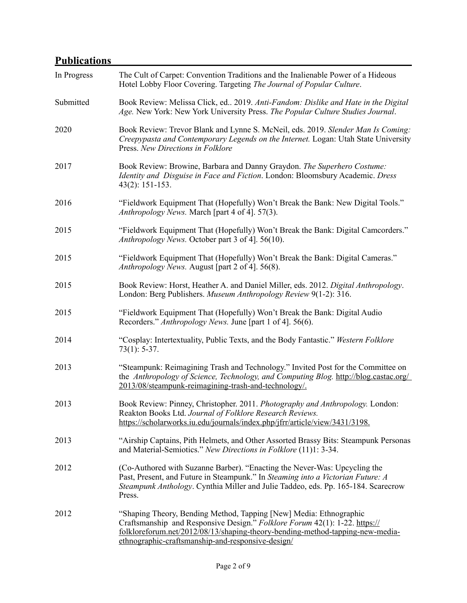## **Publications**

| In Progress | The Cult of Carpet: Convention Traditions and the Inalienable Power of a Hideous<br>Hotel Lobby Floor Covering. Targeting The Journal of Popular Culture.                                                                                                                              |
|-------------|----------------------------------------------------------------------------------------------------------------------------------------------------------------------------------------------------------------------------------------------------------------------------------------|
| Submitted   | Book Review: Melissa Click, ed., 2019. Anti-Fandom: Dislike and Hate in the Digital<br>Age. New York: New York University Press. The Popular Culture Studies Journal.                                                                                                                  |
| 2020        | Book Review: Trevor Blank and Lynne S. McNeil, eds. 2019. Slender Man Is Coming:<br>Creepypasta and Contemporary Legends on the Internet. Logan: Utah State University<br>Press. New Directions in Folklore                                                                            |
| 2017        | Book Review: Browine, Barbara and Danny Graydon. The Superhero Costume:<br>Identity and Disguise in Face and Fiction. London: Bloomsbury Academic. Dress<br>$43(2): 151-153.$                                                                                                          |
| 2016        | "Fieldwork Equipment That (Hopefully) Won't Break the Bank: New Digital Tools."<br>Anthropology News. March [part 4 of 4]. 57(3).                                                                                                                                                      |
| 2015        | "Fieldwork Equipment That (Hopefully) Won't Break the Bank: Digital Camcorders."<br>Anthropology News. October part 3 of 4]. 56(10).                                                                                                                                                   |
| 2015        | "Fieldwork Equipment That (Hopefully) Won't Break the Bank: Digital Cameras."<br>Anthropology News. August [part 2 of 4]. 56(8).                                                                                                                                                       |
| 2015        | Book Review: Horst, Heather A. and Daniel Miller, eds. 2012. Digital Anthropology.<br>London: Berg Publishers. Museum Anthropology Review 9(1-2): 316.                                                                                                                                 |
| 2015        | "Fieldwork Equipment That (Hopefully) Won't Break the Bank: Digital Audio<br>Recorders." Anthropology News. June [part 1 of 4]. 56(6).                                                                                                                                                 |
| 2014        | "Cosplay: Intertextuality, Public Texts, and the Body Fantastic." Western Folklore<br>$73(1): 5-37.$                                                                                                                                                                                   |
| 2013        | "Steampunk: Reimagining Trash and Technology." Invited Post for the Committee on<br>the Anthropology of Science, Technology, and Computing Blog. http://blog.castac.org/<br>2013/08/steampunk-reimagining-trash-and-technology/.                                                       |
| 2013        | Book Review: Pinney, Christopher. 2011. Photography and Anthropology. London:<br>Reakton Books Ltd. Journal of Folklore Research Reviews.<br>https://scholarworks.iu.edu/journals/index.php/jfrr/article/view/3431/3198.                                                               |
| 2013        | "Airship Captains, Pith Helmets, and Other Assorted Brassy Bits: Steampunk Personas<br>and Material-Semiotics." New Directions in Folklore (11)1: 3-34.                                                                                                                                |
| 2012        | (Co-Authored with Suzanne Barber). "Enacting the Never-Was: Upcycling the<br>Past, Present, and Future in Steampunk." In Steaming into a Victorian Future: A<br>Steampunk Anthology. Cynthia Miller and Julie Taddeo, eds. Pp. 165-184. Scarecrow<br>Press.                            |
| 2012        | "Shaping Theory, Bending Method, Tapping [New] Media: Ethnographic<br>Craftsmanship and Responsive Design." Folklore Forum 42(1): 1-22. https://<br>folkloreforum.net/2012/08/13/shaping-theory-bending-method-tapping-new-media-<br>ethnographic-craftsmanship-and-responsive-design/ |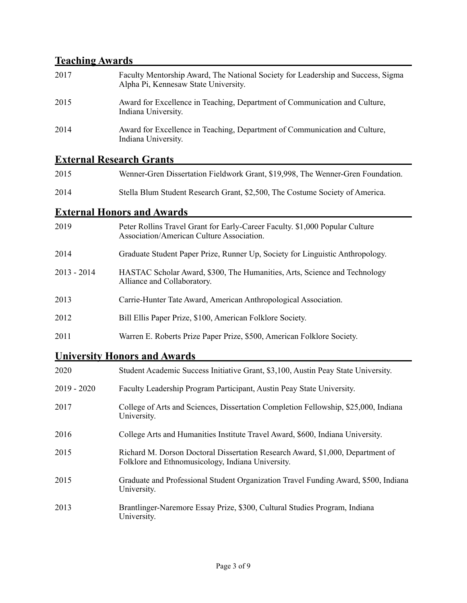# **Teaching Awards**

| 2017 | Faculty Mentorship Award, The National Society for Leadership and Success, Sigma<br>Alpha Pi, Kennesaw State University. |
|------|--------------------------------------------------------------------------------------------------------------------------|
| 2015 | Award for Excellence in Teaching, Department of Communication and Culture,<br>Indiana University.                        |
| 2014 | Award for Excellence in Teaching, Department of Communication and Culture,<br>Indiana University.                        |

## **External Research Grants**

| 2015 | Wenner-Gren Dissertation Fieldwork Grant, \$19,998, The Wenner-Gren Foundation. |
|------|---------------------------------------------------------------------------------|
| 2014 | Stella Blum Student Research Grant, \$2,500, The Costume Society of America.    |

### **External Honors and Awards**

| 2019          | Peter Rollins Travel Grant for Early-Career Faculty. \$1,000 Popular Culture<br>Association/American Culture Association. |
|---------------|---------------------------------------------------------------------------------------------------------------------------|
| 2014          | Graduate Student Paper Prize, Runner Up, Society for Linguistic Anthropology.                                             |
| $2013 - 2014$ | HASTAC Scholar Award, \$300, The Humanities, Arts, Science and Technology<br>Alliance and Collaboratory.                  |
| 2013          | Carrie-Hunter Tate Award, American Anthropological Association.                                                           |
| 2012          | Bill Ellis Paper Prize, \$100, American Folklore Society.                                                                 |
| 2011          | Warren E. Roberts Prize Paper Prize, \$500, American Folklore Society.                                                    |

#### **University Honors and Awards**

| 2020          | Student Academic Success Initiative Grant, \$3,100, Austin Peay State University.                                                   |
|---------------|-------------------------------------------------------------------------------------------------------------------------------------|
| $2019 - 2020$ | Faculty Leadership Program Participant, Austin Peay State University.                                                               |
| 2017          | College of Arts and Sciences, Dissertation Completion Fellowship, \$25,000, Indiana<br>University.                                  |
| 2016          | College Arts and Humanities Institute Travel Award, \$600, Indiana University.                                                      |
| 2015          | Richard M. Dorson Doctoral Dissertation Research Award, \$1,000, Department of<br>Folklore and Ethnomusicology, Indiana University. |
| 2015          | Graduate and Professional Student Organization Travel Funding Award, \$500, Indiana<br>University.                                  |
| 2013          | Brantlinger-Naremore Essay Prize, \$300, Cultural Studies Program, Indiana<br>University.                                           |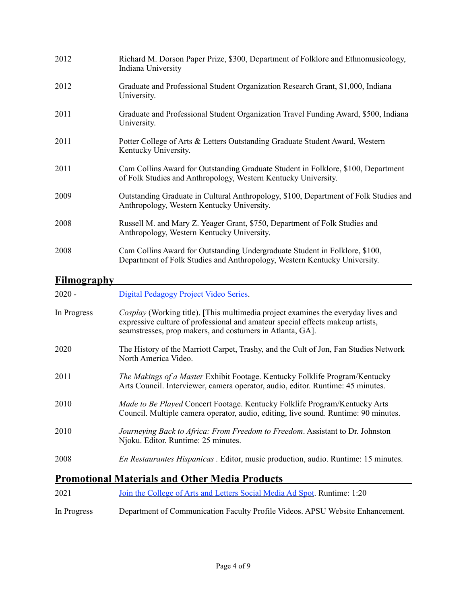| 2012 | Richard M. Dorson Paper Prize, \$300, Department of Folklore and Ethnomusicology,<br>Indiana University                                                  |
|------|----------------------------------------------------------------------------------------------------------------------------------------------------------|
| 2012 | Graduate and Professional Student Organization Research Grant, \$1,000, Indiana<br>University.                                                           |
| 2011 | Graduate and Professional Student Organization Travel Funding Award, \$500, Indiana<br>University.                                                       |
| 2011 | Potter College of Arts & Letters Outstanding Graduate Student Award, Western<br>Kentucky University.                                                     |
| 2011 | Cam Collins Award for Outstanding Graduate Student in Folklore, \$100, Department<br>of Folk Studies and Anthropology, Western Kentucky University.      |
| 2009 | Outstanding Graduate in Cultural Anthropology, \$100, Department of Folk Studies and<br>Anthropology, Western Kentucky University.                       |
| 2008 | Russell M. and Mary Z. Yeager Grant, \$750, Department of Folk Studies and<br>Anthropology, Western Kentucky University.                                 |
| 2008 | Cam Collins Award for Outstanding Undergraduate Student in Folklore, \$100,<br>Department of Folk Studies and Anthropology, Western Kentucky University. |

#### **Filmography**

| $2020 -$    | Digital Pedagogy Project Video Series.                                                                                                                                                                                           |
|-------------|----------------------------------------------------------------------------------------------------------------------------------------------------------------------------------------------------------------------------------|
| In Progress | Cosplay (Working title). [This multimedia project examines the everyday lives and<br>expressive culture of professional and amateur special effects makeup artists,<br>seamstresses, prop makers, and costumers in Atlanta, GA]. |
| 2020        | The History of the Marriott Carpet, Trashy, and the Cult of Jon, Fan Studies Network<br>North America Video.                                                                                                                     |
| 2011        | <i>The Makings of a Master Exhibit Footage. Kentucky Folklife Program/Kentucky</i><br>Arts Council. Interviewer, camera operator, audio, editor. Runtime: 45 minutes.                                                            |
| 2010        | Made to Be Played Concert Footage. Kentucky Folklife Program/Kentucky Arts<br>Council. Multiple camera operator, audio, editing, live sound. Runtime: 90 minutes.                                                                |
| 2010        | Journeying Back to Africa: From Freedom to Freedom. Assistant to Dr. Johnston<br>Njoku. Editor. Runtime: 25 minutes.                                                                                                             |
| 2008        | <i>En Restaurantes Hispanicas</i> . Editor, music production, audio. Runtime: 15 minutes.                                                                                                                                        |
|             | <b>Promotional Materials and Other Media Products</b>                                                                                                                                                                            |

# 2021 [Join the College of Arts and Letters Social Media Ad Spot](https://youtu.be/nMKOjWuumCw). Runtime: 1:20 In Progress Department of Communication Faculty Profile Videos. APSU Website Enhancement.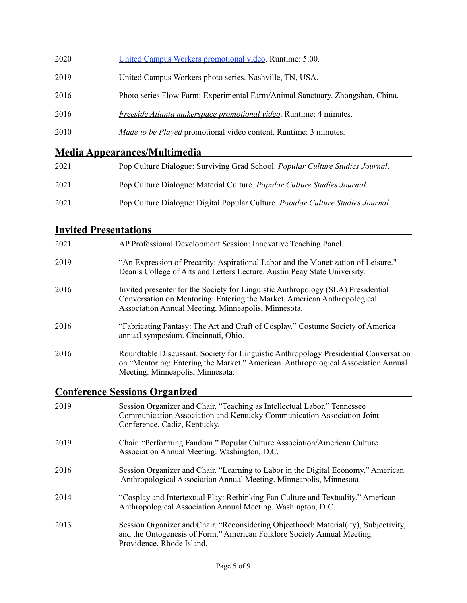| 2020 | United Campus Workers promotional video. Runtime: 5:00.                       |
|------|-------------------------------------------------------------------------------|
| 2019 | United Campus Workers photo series. Nashville, TN, USA.                       |
| 2016 | Photo series Flow Farm: Experimental Farm/Animal Sanctuary. Zhongshan, China. |
| 2016 | Freeside Atlanta makerspace promotional video. Runtime: 4 minutes.            |
| 2010 | <i>Made to be Played</i> promotional video content. Runtime: 3 minutes.       |
|      |                                                                               |

## **Media Appearances/Multimedia**

| 2021 | Pop Culture Dialogue: Surviving Grad School. Popular Culture Studies Journal.   |
|------|---------------------------------------------------------------------------------|
| 2021 | Pop Culture Dialogue: Material Culture. <i>Popular Culture Studies Journal.</i> |
| 2021 | Pop Culture Dialogue: Digital Popular Culture. Popular Culture Studies Journal. |

### **Invited Presentations**

| 2021 | AP Professional Development Session: Innovative Teaching Panel.                                                                                                                                                     |
|------|---------------------------------------------------------------------------------------------------------------------------------------------------------------------------------------------------------------------|
| 2019 | "An Expression of Precarity: Aspirational Labor and the Monetization of Leisure."<br>Dean's College of Arts and Letters Lecture. Austin Peay State University.                                                      |
| 2016 | Invited presenter for the Society for Linguistic Anthropology (SLA) Presidential<br>Conversation on Mentoring: Entering the Market. American Anthropological<br>Association Annual Meeting. Minneapolis, Minnesota. |
| 2016 | "Fabricating Fantasy: The Art and Craft of Cosplay." Costume Society of America<br>annual symposium. Cincinnati, Ohio.                                                                                              |
| 2016 | Roundtable Discussant. Society for Linguistic Anthropology Presidential Conversation<br>on "Mentoring: Entering the Market." American Anthropological Association Annual<br>Meeting. Minneapolis, Minnesota.        |

## **Conference Sessions Organized**

| 2019 | Session Organizer and Chair. "Teaching as Intellectual Labor." Tennessee<br>Communication Association and Kentucky Communication Association Joint<br>Conference. Cadiz, Kentucky.           |
|------|----------------------------------------------------------------------------------------------------------------------------------------------------------------------------------------------|
| 2019 | Chair. "Performing Fandom." Popular Culture Association/American Culture<br>Association Annual Meeting. Washington, D.C.                                                                     |
| 2016 | Session Organizer and Chair. "Learning to Labor in the Digital Economy." American<br>Anthropological Association Annual Meeting. Minneapolis, Minnesota.                                     |
| 2014 | "Cosplay and Intertextual Play: Rethinking Fan Culture and Textuality." American<br>Anthropological Association Annual Meeting. Washington, D.C.                                             |
| 2013 | Session Organizer and Chair. "Reconsidering Objecthood: Material(ity), Subjectivity,<br>and the Ontogenesis of Form." American Folklore Society Annual Meeting.<br>Providence, Rhode Island. |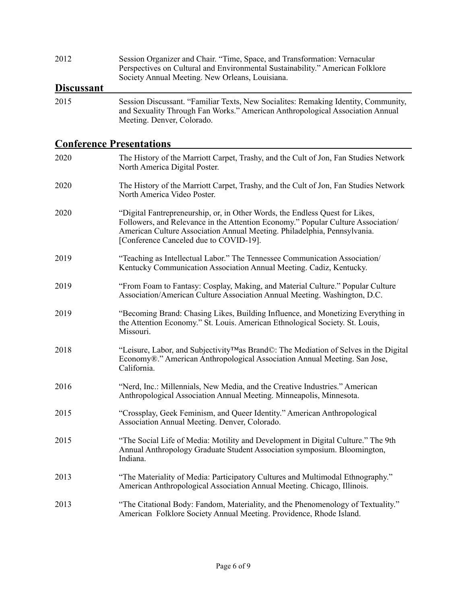| 2012              | Session Organizer and Chair. "Time, Space, and Transformation: Vernacular<br>Perspectives on Cultural and Environmental Sustainability." American Folklore<br>Society Annual Meeting. New Orleans, Louisiana.                                                                          |
|-------------------|----------------------------------------------------------------------------------------------------------------------------------------------------------------------------------------------------------------------------------------------------------------------------------------|
| <u>Discussant</u> |                                                                                                                                                                                                                                                                                        |
| 2015              | Session Discussant. "Familiar Texts, New Socialites: Remaking Identity, Community,<br>and Sexuality Through Fan Works." American Anthropological Association Annual<br>Meeting. Denver, Colorado.                                                                                      |
|                   | <u><b>Conference Presentations</b></u>                                                                                                                                                                                                                                                 |
| 2020              | The History of the Marriott Carpet, Trashy, and the Cult of Jon, Fan Studies Network<br>North America Digital Poster.                                                                                                                                                                  |
| 2020              | The History of the Marriott Carpet, Trashy, and the Cult of Jon, Fan Studies Network<br>North America Video Poster.                                                                                                                                                                    |
| 2020              | "Digital Fantrepreneurship, or, in Other Words, the Endless Quest for Likes,<br>Followers, and Relevance in the Attention Economy." Popular Culture Association/<br>American Culture Association Annual Meeting. Philadelphia, Pennsylvania.<br>[Conference Canceled due to COVID-19]. |
| 2019              | "Teaching as Intellectual Labor." The Tennessee Communication Association/<br>Kentucky Communication Association Annual Meeting. Cadiz, Kentucky.                                                                                                                                      |
| 2019              | "From Foam to Fantasy: Cosplay, Making, and Material Culture." Popular Culture<br>Association/American Culture Association Annual Meeting. Washington, D.C.                                                                                                                            |
| 2019              | "Becoming Brand: Chasing Likes, Building Influence, and Monetizing Everything in<br>the Attention Economy." St. Louis. American Ethnological Society. St. Louis,<br>Missouri.                                                                                                          |
| 2018              | "Leisure, Labor, and Subjectivity <sup>TM</sup> as Brand $\mathbb{O}$ : The Mediation of Selves in the Digital<br>Economy®." American Anthropological Association Annual Meeting. San Jose,<br>California.                                                                             |
| 2016              | "Nerd, Inc.: Millennials, New Media, and the Creative Industries." American<br>Anthropological Association Annual Meeting. Minneapolis, Minnesota.                                                                                                                                     |
| 2015              | "Crossplay, Geek Feminism, and Queer Identity." American Anthropological<br>Association Annual Meeting. Denver, Colorado.                                                                                                                                                              |
| 2015              | "The Social Life of Media: Motility and Development in Digital Culture." The 9th<br>Annual Anthropology Graduate Student Association symposium. Bloomington,<br>Indiana.                                                                                                               |
| 2013              | "The Materiality of Media: Participatory Cultures and Multimodal Ethnography."<br>American Anthropological Association Annual Meeting. Chicago, Illinois.                                                                                                                              |
| 2013              | "The Citational Body: Fandom, Materiality, and the Phenomenology of Textuality."<br>American Folklore Society Annual Meeting. Providence, Rhode Island.                                                                                                                                |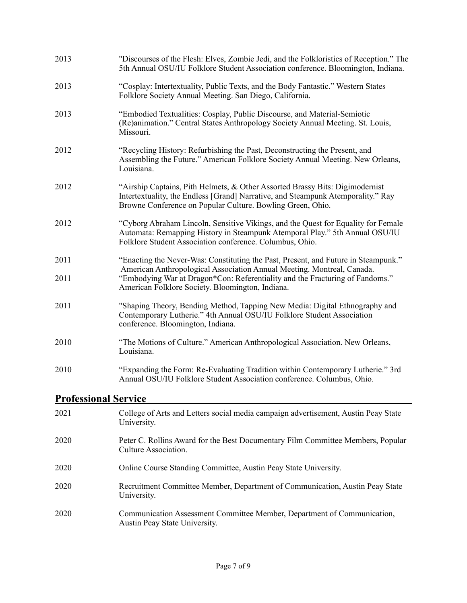| 2013                        | "Discourses of the Flesh: Elves, Zombie Jedi, and the Folkloristics of Reception." The<br>5th Annual OSU/IU Folklore Student Association conference. Bloomington, Indiana.                                                     |  |
|-----------------------------|--------------------------------------------------------------------------------------------------------------------------------------------------------------------------------------------------------------------------------|--|
| 2013                        | "Cosplay: Intertextuality, Public Texts, and the Body Fantastic." Western States<br>Folklore Society Annual Meeting. San Diego, California.                                                                                    |  |
| 2013                        | "Embodied Textualities: Cosplay, Public Discourse, and Material-Semiotic<br>(Re)animation." Central States Anthropology Society Annual Meeting. St. Louis,<br>Missouri.                                                        |  |
| 2012                        | "Recycling History: Refurbishing the Past, Deconstructing the Present, and<br>Assembling the Future." American Folklore Society Annual Meeting. New Orleans,<br>Louisiana.                                                     |  |
| 2012                        | "Airship Captains, Pith Helmets, & Other Assorted Brassy Bits: Digimodernist<br>Intertextuality, the Endless [Grand] Narrative, and Steampunk Atemporality." Ray<br>Browne Conference on Popular Culture. Bowling Green, Ohio. |  |
| 2012                        | "Cyborg Abraham Lincoln, Sensitive Vikings, and the Quest for Equality for Female<br>Automata: Remapping History in Steampunk Atemporal Play." 5th Annual OSU/IU<br>Folklore Student Association conference. Columbus, Ohio.   |  |
| 2011                        | "Enacting the Never-Was: Constituting the Past, Present, and Future in Steampunk."<br>American Anthropological Association Annual Meeting. Montreal, Canada.                                                                   |  |
| 2011                        | "Embodying War at Dragon*Con: Referentiality and the Fracturing of Fandoms."<br>American Folklore Society. Bloomington, Indiana.                                                                                               |  |
| 2011                        | "Shaping Theory, Bending Method, Tapping New Media: Digital Ethnography and<br>Contemporary Lutherie." 4th Annual OSU/IU Folklore Student Association<br>conference. Bloomington, Indiana.                                     |  |
| 2010                        | "The Motions of Culture." American Anthropological Association. New Orleans,<br>Louisiana.                                                                                                                                     |  |
| 2010                        | "Expanding the Form: Re-Evaluating Tradition within Contemporary Lutherie." 3rd<br>Annual OSU/IU Folklore Student Association conference. Columbus, Ohio.                                                                      |  |
| <b>Professional Service</b> |                                                                                                                                                                                                                                |  |

| 2021 | College of Arts and Letters social media campaign advertisement, Austin Peay State<br>University.        |
|------|----------------------------------------------------------------------------------------------------------|
| 2020 | Peter C. Rollins Award for the Best Documentary Film Committee Members, Popular<br>Culture Association.  |
| 2020 | Online Course Standing Committee, Austin Peay State University.                                          |
| 2020 | Recruitment Committee Member, Department of Communication, Austin Peay State<br>University.              |
| 2020 | Communication Assessment Committee Member, Department of Communication,<br>Austin Peay State University. |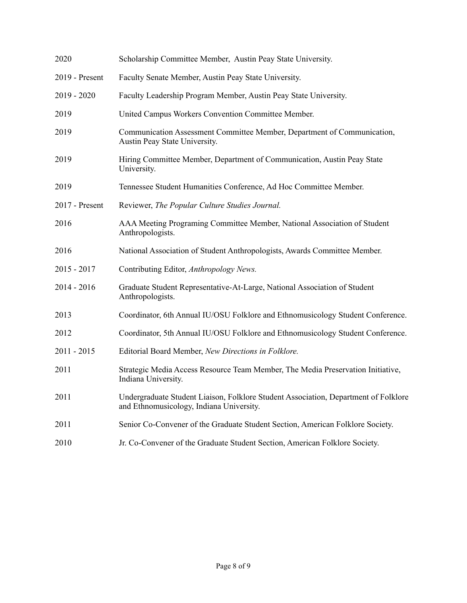| 2020           | Scholarship Committee Member, Austin Peay State University.                                                                     |
|----------------|---------------------------------------------------------------------------------------------------------------------------------|
| 2019 - Present | Faculty Senate Member, Austin Peay State University.                                                                            |
| $2019 - 2020$  | Faculty Leadership Program Member, Austin Peay State University.                                                                |
| 2019           | United Campus Workers Convention Committee Member.                                                                              |
| 2019           | Communication Assessment Committee Member, Department of Communication,<br>Austin Peay State University.                        |
| 2019           | Hiring Committee Member, Department of Communication, Austin Peay State<br>University.                                          |
| 2019           | Tennessee Student Humanities Conference, Ad Hoc Committee Member.                                                               |
| 2017 - Present | Reviewer, The Popular Culture Studies Journal.                                                                                  |
| 2016           | AAA Meeting Programing Committee Member, National Association of Student<br>Anthropologists.                                    |
| 2016           | National Association of Student Anthropologists, Awards Committee Member.                                                       |
| $2015 - 2017$  | Contributing Editor, Anthropology News.                                                                                         |
| $2014 - 2016$  | Graduate Student Representative-At-Large, National Association of Student<br>Anthropologists.                                   |
| 2013           | Coordinator, 6th Annual IU/OSU Folklore and Ethnomusicology Student Conference.                                                 |
| 2012           | Coordinator, 5th Annual IU/OSU Folklore and Ethnomusicology Student Conference.                                                 |
| $2011 - 2015$  | Editorial Board Member, New Directions in Folklore.                                                                             |
| 2011           | Strategic Media Access Resource Team Member, The Media Preservation Initiative,<br>Indiana University.                          |
| 2011           | Undergraduate Student Liaison, Folklore Student Association, Department of Folklore<br>and Ethnomusicology, Indiana University. |
| 2011           | Senior Co-Convener of the Graduate Student Section, American Folklore Society.                                                  |
| 2010           | Jr. Co-Convener of the Graduate Student Section, American Folklore Society.                                                     |